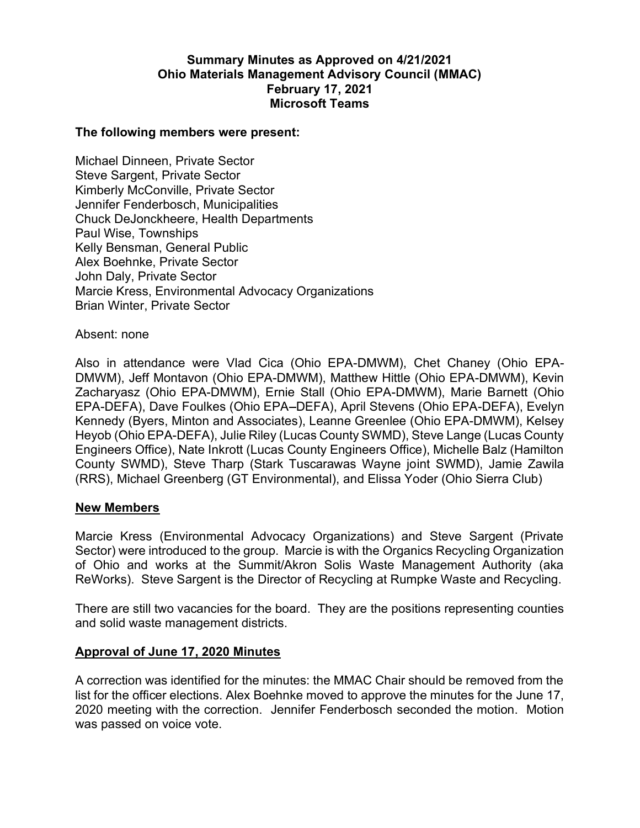# Summary Minutes as Approved on 4/21/2021 Ohio Materials Management Advisory Council (MMAC) February 17, 2021 Microsoft Teams

#### The following members were present:

Michael Dinneen, Private Sector Steve Sargent, Private Sector Kimberly McConville, Private Sector Jennifer Fenderbosch, Municipalities Chuck DeJonckheere, Health Departments Paul Wise, Townships Kelly Bensman, General Public Alex Boehnke, Private Sector John Daly, Private Sector Marcie Kress, Environmental Advocacy Organizations Brian Winter, Private Sector

Absent: none

Also in attendance were Vlad Cica (Ohio EPA-DMWM), Chet Chaney (Ohio EPA-DMWM), Jeff Montavon (Ohio EPA-DMWM), Matthew Hittle (Ohio EPA-DMWM), Kevin Zacharyasz (Ohio EPA-DMWM), Ernie Stall (Ohio EPA-DMWM), Marie Barnett (Ohio EPA-DEFA), Dave Foulkes (Ohio EPA DEFA), April Stevens (Ohio EPA-DEFA), Evelyn Kennedy (Byers, Minton and Associates), Leanne Greenlee (Ohio EPA-DMWM), Kelsey Heyob (Ohio EPA-DEFA), Julie Riley (Lucas County SWMD), Steve Lange (Lucas County Engineers Office), Nate Inkrott (Lucas County Engineers Office), Michelle Balz (Hamilton County SWMD), Steve Tharp (Stark Tuscarawas Wayne joint SWMD), Jamie Zawila (RRS), Michael Greenberg (GT Environmental), and Elissa Yoder (Ohio Sierra Club)

#### New Members

Marcie Kress (Environmental Advocacy Organizations) and Steve Sargent (Private Sector) were introduced to the group. Marcie is with the Organics Recycling Organization of Ohio and works at the Summit/Akron Solis Waste Management Authority (aka ReWorks). Steve Sargent is the Director of Recycling at Rumpke Waste and Recycling.

There are still two vacancies for the board. They are the positions representing counties and solid waste management districts.

#### Approval of June 17, 2020 Minutes

A correction was identified for the minutes: the MMAC Chair should be removed from the list for the officer elections. Alex Boehnke moved to approve the minutes for the June 17, 2020 meeting with the correction. Jennifer Fenderbosch seconded the motion. Motion was passed on voice vote.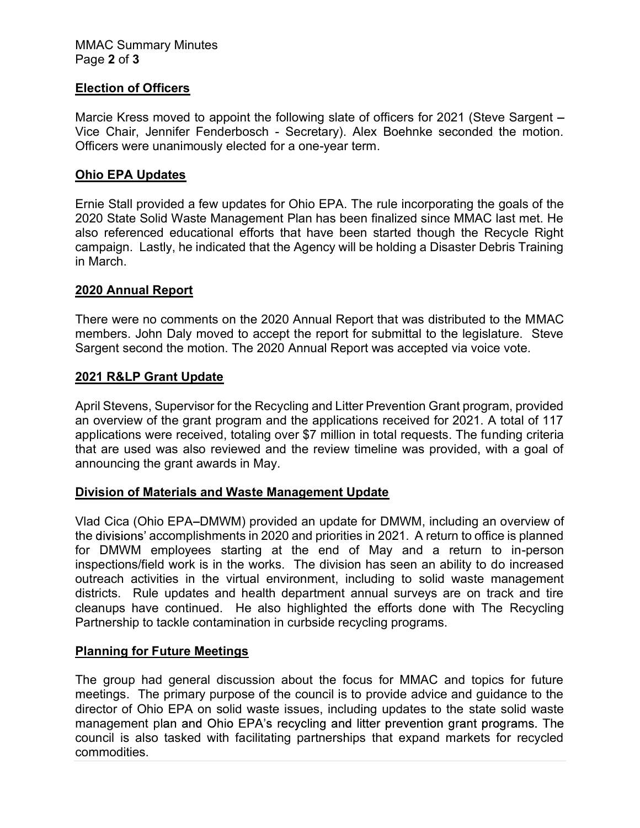### Election of Officers

Marcie Kress moved to appoint the following slate of officers for 2021 (Steve Sargent – Vice Chair, Jennifer Fenderbosch - Secretary). Alex Boehnke seconded the motion. Officers were unanimously elected for a one-year term.

# Ohio EPA Updates

Ernie Stall provided a few updates for Ohio EPA. The rule incorporating the goals of the 2020 State Solid Waste Management Plan has been finalized since MMAC last met. He also referenced educational efforts that have been started though the Recycle Right campaign. Lastly, he indicated that the Agency will be holding a Disaster Debris Training in March.

### 2020 Annual Report

There were no comments on the 2020 Annual Report that was distributed to the MMAC members. John Daly moved to accept the report for submittal to the legislature. Steve Sargent second the motion. The 2020 Annual Report was accepted via voice vote.

### 2021 R&LP Grant Update

April Stevens, Supervisor for the Recycling and Litter Prevention Grant program, provided an overview of the grant program and the applications received for 2021. A total of 117 applications were received, totaling over \$7 million in total requests. The funding criteria that are used was also reviewed and the review timeline was provided, with a goal of announcing the grant awards in May.

### Division of Materials and Waste Management Update

Vlad Cica (Ohio EPA-DMWM) provided an update for DMWM, including an overview of the divisions' accomplishments in 2020 and priorities in 2021. A return to office is planned for DMWM employees starting at the end of May and a return to in-person inspections/field work is in the works. The division has seen an ability to do increased outreach activities in the virtual environment, including to solid waste management districts. Rule updates and health department annual surveys are on track and tire cleanups have continued. He also highlighted the efforts done with The Recycling Partnership to tackle contamination in curbside recycling programs.

# Planning for Future Meetings

The group had general discussion about the focus for MMAC and topics for future meetings. The primary purpose of the council is to provide advice and guidance to the director of Ohio EPA on solid waste issues, including updates to the state solid waste management plan and Ohio EPA's recycling and litter prevention grant programs. The council is also tasked with facilitating partnerships that expand markets for recycled commodities.